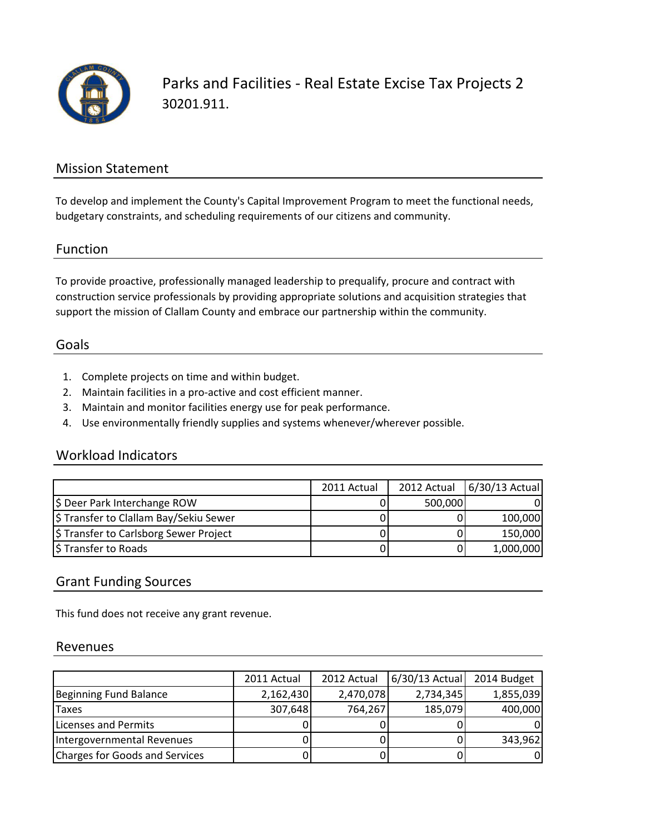

Parks and Facilities - Real Estate Excise Tax Projects 2 30201.911.

## Mission Statement

To develop and implement the County's Capital Improvement Program to meet the functional needs, budgetary constraints, and scheduling requirements of our citizens and community.

#### Function

To provide proactive, professionally managed leadership to prequalify, procure and contract with construction service professionals by providing appropriate solutions and acquisition strategies that support the mission of Clallam County and embrace our partnership within the community.

#### Goals

- 1. Complete projects on time and within budget.
- 2. Maintain facilities in a pro-active and cost efficient manner.
- 3. Maintain and monitor facilities energy use for peak performance.
- 4. Use environmentally friendly supplies and systems whenever/wherever possible.

### Workload Indicators

|                                        | 2011 Actual |         | 2012 Actual 6/30/13 Actual |
|----------------------------------------|-------------|---------|----------------------------|
| \$ Deer Park Interchange ROW           |             | 500,000 |                            |
| \$ Transfer to Clallam Bay/Sekiu Sewer |             |         | 100,000                    |
| \$ Transfer to Carlsborg Sewer Project |             |         | 150,000                    |
| \$ Transfer to Roads                   |             |         | 1,000,000                  |

### Grant Funding Sources

This fund does not receive any grant revenue.

#### Revenues

|                                | 2011 Actual | 2012 Actual | $6/30/13$ Actual | 2014 Budget |
|--------------------------------|-------------|-------------|------------------|-------------|
| Beginning Fund Balance         | 2,162,430   | 2,470,078   | 2,734,345        | 1,855,039   |
| <b>Taxes</b>                   | 307,648     | 764,267     | 185,079          | 400,000     |
| Licenses and Permits           |             |             |                  |             |
| Intergovernmental Revenues     |             |             |                  | 343,962     |
| Charges for Goods and Services |             |             |                  |             |